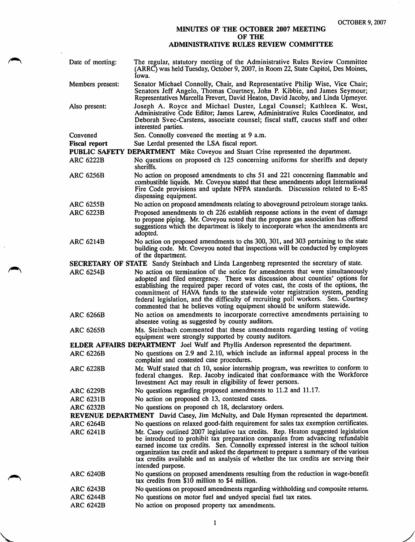## MINUTES OF THE OCTOBER 2007 MEETING OF THE ADMINISTRATIVE RULES REVIEW COMMITTEE

| Date of meeting:                                                                                   | The regular, statutory meeting of the Administrative Rules Review Committee<br>(ARRC) was held Tuesday, October 9, 2007, in Room 22, State Capitol, Des Moines,<br>Iowa.                                                                                                                                                                                                                                                                                                                                |  |
|----------------------------------------------------------------------------------------------------|---------------------------------------------------------------------------------------------------------------------------------------------------------------------------------------------------------------------------------------------------------------------------------------------------------------------------------------------------------------------------------------------------------------------------------------------------------------------------------------------------------|--|
| Members present:                                                                                   | Senator Michael Connolly, Chair, and Representative Philip Wise, Vice Chair;<br>Senators Jeff Angelo, Thomas Courtney, John P. Kibbie, and James Seymour;<br>Representatives Marcella Frevert, David Heaton, David Jacoby, and Linda Upmeyer.                                                                                                                                                                                                                                                           |  |
| Also present:                                                                                      | Joseph A. Royce and Michael Duster, Legal Counsel; Kathleen K. West,<br>Administrative Code Editor; James Larew, Administrative Rules Coordinator, and<br>Deborah Svec-Carstens, associate counsel; fiscal staff, caucus staff and other<br>interested parties.                                                                                                                                                                                                                                         |  |
| Convened                                                                                           | Sen. Connolly convened the meeting at 9 a.m.                                                                                                                                                                                                                                                                                                                                                                                                                                                            |  |
| <b>Fiscal report</b>                                                                               | Sue Lerdal presented the LSA fiscal report.                                                                                                                                                                                                                                                                                                                                                                                                                                                             |  |
| PUBLIC SAFETY DEPARTMENT Mike Coveyou and Stuart Crine represented the department.                 |                                                                                                                                                                                                                                                                                                                                                                                                                                                                                                         |  |
| <b>ARC 6222B</b>                                                                                   | No questions on proposed ch 125 concerning uniforms for sheriffs and deputy<br>sheriffs.                                                                                                                                                                                                                                                                                                                                                                                                                |  |
| <b>ARC 6256B</b>                                                                                   | No action on proposed amendments to chs 51 and 221 concerning flammable and<br>combustible liquids. Mr. Coveyou stated that these amendments adopt International<br>Fire Code provisions and update NFPA standards. Discussion related to E-85<br>dispensing equipment.                                                                                                                                                                                                                                 |  |
| <b>ARC 6255B</b>                                                                                   | No action on proposed amendments relating to aboveground petroleum storage tanks.                                                                                                                                                                                                                                                                                                                                                                                                                       |  |
| <b>ARC 6223B</b>                                                                                   | Proposed amendments to ch 226 establish response actions in the event of damage<br>to propane piping. Mr. Coveyou noted that the propane gas association has offered<br>suggestions which the department is likely to incorporate when the amendments are<br>adopted.                                                                                                                                                                                                                                   |  |
| <b>ARC 6214B</b>                                                                                   | No action on proposed amendments to chs 300, 301, and 303 pertaining to the state<br>building code. Mr. Coveyou noted that inspections will be conducted by employees<br>of the department.                                                                                                                                                                                                                                                                                                             |  |
| <b>SECRETARY OF STATE</b> Sandy Steinbach and Linda Langenberg represented the secretary of state. |                                                                                                                                                                                                                                                                                                                                                                                                                                                                                                         |  |
| <b>ARC 6254B</b>                                                                                   | No action on termination of the notice for amendments that were simultaneously<br>adopted and filed emergency. There was discussion about counties' options for<br>establishing the required paper record of votes cast, the costs of the options, the<br>commitment of HAVA funds to the statewide voter registration system, pending<br>federal legislation, and the difficulty of recruiting poll workers. Sen. Courtney<br>commented that he believes voting equipment should be uniform statewide. |  |
| <b>ARC 6266B</b>                                                                                   | No action on amendments to incorporate corrective amendments pertaining to<br>absentee voting as suggested by county auditors.                                                                                                                                                                                                                                                                                                                                                                          |  |
| <b>ARC 6265B</b>                                                                                   | Ms. Steinbach commented that these amendments regarding testing of voting<br>equipment were strongly supported by county auditors.                                                                                                                                                                                                                                                                                                                                                                      |  |
|                                                                                                    | ELDER AFFAIRS DEPARTMENT Joel Wulf and Phyllis Anderson represented the department.                                                                                                                                                                                                                                                                                                                                                                                                                     |  |
| <b>ARC 6226B</b>                                                                                   | No questions on 2.9 and 2.10, which include an informal appeal process in the<br>complaint and contested case procedures.                                                                                                                                                                                                                                                                                                                                                                               |  |
| <b>ARC 6228B</b>                                                                                   | Mr. Wulf stated that ch 10, senior internship program, was rewritten to conform to<br>federal changes. Rep. Jacoby indicated that conformance with the Workforce<br>Investment Act may result in eligibility of fewer persons.                                                                                                                                                                                                                                                                          |  |
| <b>ARC 6229B</b>                                                                                   | No questions regarding proposed amendments to 11.2 and 11.17.                                                                                                                                                                                                                                                                                                                                                                                                                                           |  |
| <b>ARC 6231B</b>                                                                                   | No action on proposed ch 13, contested cases.                                                                                                                                                                                                                                                                                                                                                                                                                                                           |  |
| <b>ARC 6232B</b>                                                                                   | No questions on proposed ch 18, declaratory orders.                                                                                                                                                                                                                                                                                                                                                                                                                                                     |  |
|                                                                                                    | REVENUE DEPARTMENT David Casey, Jim McNulty, and Dale Hyman represented the department.                                                                                                                                                                                                                                                                                                                                                                                                                 |  |
| <b>ARC 6264B</b>                                                                                   | No questions on relaxed good-faith requirement for sales tax exemption certificates.                                                                                                                                                                                                                                                                                                                                                                                                                    |  |
| <b>ARC 6241B</b>                                                                                   | Mr. Casey outlined 2007 legislative tax credits. Rep. Heaton suggested legislation<br>be introduced to prohibit tax preparation companies from advancing refundable<br>earned income tax credits. Sen. Connolly expressed interest in the school tuition<br>organization tax credit and asked the department to prepare a summary of the various<br>tax credits available and an analysis of whether the tax credits are serving their<br>intended purpose.                                             |  |
| <b>ARC 6240B</b>                                                                                   | No questions on proposed amendments resulting from the reduction in wage-benefit<br>tax credits from \$10 million to \$4 million.                                                                                                                                                                                                                                                                                                                                                                       |  |
| ARC 6243B                                                                                          | No questions on proposed amendments regarding withholding and composite returns.                                                                                                                                                                                                                                                                                                                                                                                                                        |  |
| <b>ARC 6244B</b>                                                                                   | No questions on motor fuel and undyed special fuel tax rates.                                                                                                                                                                                                                                                                                                                                                                                                                                           |  |
| <b>ARC 6242B</b>                                                                                   | No action on proposed property tax amendments.                                                                                                                                                                                                                                                                                                                                                                                                                                                          |  |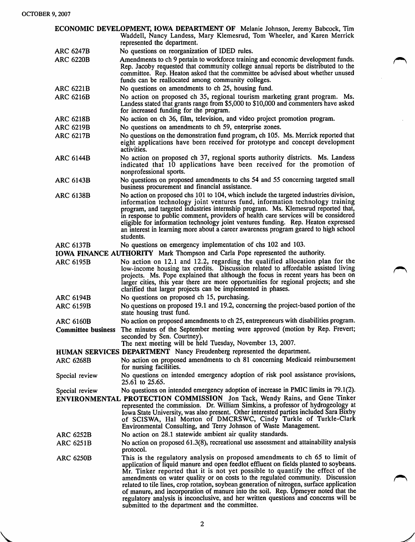| ECONOMIC DEVELOPMENT, IOWA DEPARTMENT OF Melanie Johnson, Jeremy Babcock, Tim  |                                                                                                                                                                                                                                                                                                                                                                                                                                                                                                                                                                                                                                                                    |
|--------------------------------------------------------------------------------|--------------------------------------------------------------------------------------------------------------------------------------------------------------------------------------------------------------------------------------------------------------------------------------------------------------------------------------------------------------------------------------------------------------------------------------------------------------------------------------------------------------------------------------------------------------------------------------------------------------------------------------------------------------------|
|                                                                                | Waddell, Nancy Landess, Mary Klemesrud, Tom Wheeler, and Karen Merrick<br>represented the department.                                                                                                                                                                                                                                                                                                                                                                                                                                                                                                                                                              |
| <b>ARC 6247B</b>                                                               | No questions on reorganization of IDED rules.                                                                                                                                                                                                                                                                                                                                                                                                                                                                                                                                                                                                                      |
| <b>ARC 6220B</b>                                                               | Amendments to ch 9 pertain to workforce training and economic development funds.<br>Rep. Jacoby requested that community college annual reports be distributed to the<br>committee. Rep. Heaton asked that the committee be advised about whether unused<br>funds can be reallocated among community colleges.                                                                                                                                                                                                                                                                                                                                                     |
| <b>ARC 6221B</b>                                                               | No questions on amendments to ch 25, housing fund.                                                                                                                                                                                                                                                                                                                                                                                                                                                                                                                                                                                                                 |
| <b>ARC 6216B</b>                                                               | No action on proposed ch 35, regional tourism marketing grant program. Ms.<br>Landess stated that grants range from \$5,000 to \$10,000 and commenters have asked<br>for increased funding for the program.                                                                                                                                                                                                                                                                                                                                                                                                                                                        |
| <b>ARC 6218B</b>                                                               | No action on ch 36, film, television, and video project promotion program.                                                                                                                                                                                                                                                                                                                                                                                                                                                                                                                                                                                         |
| <b>ARC 6219B</b>                                                               | No questions on amendments to ch 59, enterprise zones.                                                                                                                                                                                                                                                                                                                                                                                                                                                                                                                                                                                                             |
| <b>ARC 6217B</b>                                                               | No questions on the demonstration fund program, ch 105. Ms. Merrick reported that<br>eight applications have been received for prototype and concept development<br>activities.                                                                                                                                                                                                                                                                                                                                                                                                                                                                                    |
| <b>ARC 6144B</b>                                                               | No action on proposed ch 37, regional sports authority districts. Ms. Landess<br>indicated that 10 applications have been received for the promotion of<br>nonprofessional sports.                                                                                                                                                                                                                                                                                                                                                                                                                                                                                 |
| <b>ARC 6143B</b>                                                               | No questions on proposed amendments to chs 54 and 55 concerning targeted small<br>business procurement and financial assistance.                                                                                                                                                                                                                                                                                                                                                                                                                                                                                                                                   |
| <b>ARC 6138B</b>                                                               | No action on proposed chs 101 to 104, which include the targeted industries division,<br>information technology joint ventures fund, information technology training<br>program, and targeted industries internship program. Ms. Klemesrud reported that,<br>in response to public comment, providers of health care services will be considered<br>eligible for information technology joint ventures funding. Rep. Heaton expressed<br>an interest in learning more about a career awareness program geared to high school<br>students.                                                                                                                          |
| <b>ARC 6137B</b>                                                               | No questions on emergency implementation of chs 102 and 103.                                                                                                                                                                                                                                                                                                                                                                                                                                                                                                                                                                                                       |
| IOWA FINANCE AUTHORITY Mark Thompson and Carla Pope represented the authority. |                                                                                                                                                                                                                                                                                                                                                                                                                                                                                                                                                                                                                                                                    |
| <b>ARC 6195B</b>                                                               | No action on 12.1 and 12.2, regarding the qualified allocation plan for the<br>low-income housing tax credits. Discussion related to affordable assisted living<br>projects. Ms. Pope explained that although the focus in recent years has been on<br>larger cities, this year there are more opportunities for regional projects; and she<br>clarified that larger projects can be implemented in phases.                                                                                                                                                                                                                                                        |
| <b>ARC 6194B</b>                                                               | No questions on proposed ch 15, purchasing.                                                                                                                                                                                                                                                                                                                                                                                                                                                                                                                                                                                                                        |
| <b>ARC 6159B</b>                                                               | No questions on proposed 19.1 and 19.2, concerning the project-based portion of the<br>state housing trust fund.                                                                                                                                                                                                                                                                                                                                                                                                                                                                                                                                                   |
| <b>ARC 6160B</b>                                                               | No action on proposed amendments to ch 25, entrepreneurs with disabilities program.                                                                                                                                                                                                                                                                                                                                                                                                                                                                                                                                                                                |
|                                                                                | Committee business The minutes of the September meeting were approved (motion by Rep. Frevert;<br>seconded by Sen. Courtney).<br>The next meeting will be held Tuesday, November 13, 2007.                                                                                                                                                                                                                                                                                                                                                                                                                                                                         |
|                                                                                | HUMAN SERVICES DEPARTMENT Nancy Freudenberg represented the department.                                                                                                                                                                                                                                                                                                                                                                                                                                                                                                                                                                                            |
| <b>ARC 6268B</b>                                                               | No action on proposed amendments to ch 81 concerning Medicaid reimbursement<br>for nursing facilities.                                                                                                                                                                                                                                                                                                                                                                                                                                                                                                                                                             |
| Special review                                                                 | No questions on intended emergency adoption of risk pool assistance provisions,<br>25.61 to 25.65.                                                                                                                                                                                                                                                                                                                                                                                                                                                                                                                                                                 |
| Special review                                                                 | No questions on intended emergency adoption of increase in PMIC limits in 79.1(2).                                                                                                                                                                                                                                                                                                                                                                                                                                                                                                                                                                                 |
|                                                                                | <b>ENVIRONMENTAL PROTECTION COMMISSION</b> Jon Tack, Wendy Rains, and Gene Tinker<br>represented the commission. Dr. William Simkins, a professor of hydrogeology at<br>Iowa State University, was also present. Other interested parties included Sara Bixby<br>of SCISWA, Hal Morton of DMCRSWC, Cindy Turkle of Turkle-Clark<br>Environmental Consulting, and Terry Johnson of Waste Management.                                                                                                                                                                                                                                                                |
| <b>ARC 6252B</b>                                                               | No action on 28.1 statewide ambient air quality standards.                                                                                                                                                                                                                                                                                                                                                                                                                                                                                                                                                                                                         |
| <b>ARC 6251B</b>                                                               | No action on proposed 61.3(8), recreational use assessment and attainability analysis<br>protocol.                                                                                                                                                                                                                                                                                                                                                                                                                                                                                                                                                                 |
| <b>ARC 6250B</b>                                                               | This is the regulatory analysis on proposed amendments to ch 65 to limit of<br>application of liquid manure and open feedlot effluent on fields planted to soybeans.<br>Mr. Tinker reported that it is not yet possible to quantify the effect of the<br>amendments on water quality or on costs to the regulated community. Discussion<br>related to tile lines, crop rotation, soybean generation of nitrogen, surface application<br>of manure, and incorporation of manure into the soil. Rep. Upmeyer noted that the<br>regulatory analysis is inconclusive, and her written questions and concerns will be<br>submitted to the department and the committee. |